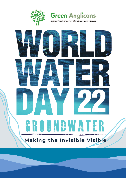



Anglican Church of Southern Africa Environmental Network

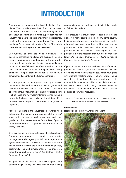# **INTRODUCTION**

Groundwater resources are the invisible lifeline of our planet. They provide almost half of all drinking water worldwide, about 40% of water for irrigated agriculture and about one third of the water supply required for industry. Yet, many people are unaware of the existence, let alone the importance, of groundwater. That is why the theme for this year's World Water Day on 22 March is **"Groundwater: making the invisible visible."**

Unfortunately, all over the world, groundwater is becoming increasingly polluted and overused. In some regions, the situation is already critical; with groundwater levels declining rapidly. As climate change leads to a reduction in rainfall and therefore available surface water in most areas, more and more people are sinking boreholes. This puts groundwater at risk – which could threaten food security for the future generations.

A large part of produce grown from groundwater resources is destined for export – think of grapes and wine in the Western Cape of South Africa. Cultivation of soya beans, cotton, mining of lithium for electric cars – all of these are very water intensive. Almonds being grown in California are having a devastating effect on groundwater (especially as almond milk grows in popularity).

"Those of us living in the industrialized countries need to be aware that our use of water, especially the 'virtual' water which is used to produce our food and other goods, has direct consequences for the lives of people in the Global South," *Dr Ingrid Jacobsen (Bread for the World, Germany)*.

Over-exploitation of groundwater is not the only problem. "Human development is disrupting groundwater recharge. We are facing rampant deforestation, intensive agricultural activities in the water catchment area, sand mining from the rivers, the loss of riparian vegetation, biodiversity loss, and climate change. The impact on groundwater recharge is huge." *(Dr Matthew Koshy, Church of South India)*

As groundwater and river levels decline, springs and streams begin to dry up. This means that fishing

communities can then no longer sustain their livelihoods as fish stocks decline.

"The pressure on groundwater is bound to increase globally, in many countries, including my home country India, people do not need to obtain permission to drill a borewell to extract water. People think they 'own' the groundwater in their land. With unbridled extraction of groundwater in the absence of strict regulations, this precious but finite resource may run out sooner than later." *(Dinesh Suna, Coordinator of World Council of Churches Ecumenical Water Network)*

If you are worried about the health of our surface- and groundwater resources, there are various things you can do: re-use water where possible (eg. water your grass with washing machine water or shower water), repair water leaks at your house, harvest rainwater and try to use as little water as possible in your daily activities. We need to make sure that our groundwater resources are used in a sustainable manner and that we prevent pollution of our water resources.

(Adapted from an article on WCC, EWN "Groundwater: a hidden treasure we need to protect, say EWN members")

#### **Photo below:**

Hoerikwaggo – From www.tripadvisor.com

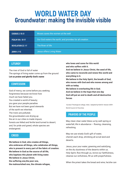## **WORLD WATER DAY Groundwater: making the invisible visible**

| <b>EXODUS 2: 15-21</b>    | Moses saves the women at the well                       |
|---------------------------|---------------------------------------------------------|
| <b>PSALM 104:10-17</b>    | Our God waters the earth, and provides for all creation |
| <b>REVELATION 22: 1-7</b> | The River of life                                       |
| <b>JOHN 4: 1-13</b>       | Jesus offers Living Water                               |

### **LITURGY**

The river of God is full of water The springs of living water come up from the ground Let us praise and glorify God's name

#### **CONFESSION**

God of mercy, we come before you seeking forgiveness because we know how much we have failed you. You created a world of beauty; you gave your people paradise. But we have not been good stewards of the earth we inherited. The rivers are polluted; the groundwaters are drying up the air in our cities is made impure; forests are felled and fertile land turned to desert; and, for pride and greed, whole species are endangered.

#### **CREED**

**We believe in God, who creates all things, who embraces all things, who celebrates all things, who is present in every part of the fabric of creation. We believe in God as the source of all life, who baptizes this planet with living water. We believe in Jesus Christ, the suffering one,the poor one, the malnourished one, the climate refugee,**

**who loves and cares for this world and who suffers with it. And we believe in Jesus Christ, the seed of life, who came to reconcile and renew this world and** 

**everything in it. We believe in the Holy Spirit, the breath of God, who moves with God and who moves among and with us today.**

**We believe in everlasting life in God.**

**And we believe in the hope that one day**

**God will put an end to death and all destructive forces** 

 Gurukul Theological college, India / adapted by Keld B. Hansen 2009 : World Council of Churches

### **PRAYERS OF THE PEOPLE**

May clean clear water bless us by well-spring or waterfall, life in abundance – flowing, cleansing, refreshing.

May we use wisely God's gift of water, cherish each drop, shrinking all scrub land and deserts.

Jesus, pour your water, greening and satisfying, on the dry dustiness of the deserts within us. Holy Spirit, flow through us, revive our faithfulness, cleanse our sinfulness, fill us with prayerfulness.

When the priest takes the bread and wine, he/she can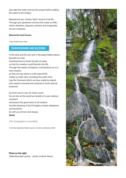also take the water and say this prayer before adding the water to the chalice.

Blessed are you, Creator Spirit, Source of all life. Through your goodness we have this water to offer, which refreshes, cleanses, enlivens and invigorates all your creatures.

#### **Blessed be God forever.**

Chris Polhill, Paris Vigil

#### **COMMISSIONING AND BLESSING**

In the seas and the rain and in the deep hidden places beneath our feet,

God bestowed on Earth the gift of water,

so that his creation could flourish into life.

Through the waters of baptism, God beckons us to a new creation,

so that we may share in a life beyond life.

Today, by water also, including this water here, may the Covenant which we have made be sealed, and creation renewed and restored to God's eternal purposes.

Go forth now to care for God's world.

Go out into all the world as heralds of a new rainbow covenant

and preach the good news to all creation.

And the blessing of God Almighty, Creator, Redeemer and Sustainer

be with you all now and always.

Amen.

*(The Congregation is sprinkled)*

From the Operation Noah Launch, Coventry Cathedral, 2004

Photo on the right: Table Mountain spring – photo: Andrew Glaum

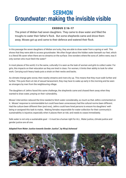## **SERMON Groundwater: making the invisible visible**

## EXODUS 2:16-17

The priest of Midian had seven daughters. They came to draw water and filled the troughs to water their father's flock. But some shepherds came and drove them away. Moses got up and came to their defence and watered their flock.

In this passage the seven daughters of Midian are lucky, they are able to draw water from a spring or well. This shows that they were able to access groundwater. We often forget about the hidden water beneath our feet, which is a literal life saver when there are no streams on the surface. One wonders where the sons of Jethro were, was it only women who must fetch the water?

In most places of the world, it is the same, culturally it is seen as the task of women and girls to collect water. For girls, this impacts on their education as they are tired in class. For women, it limits their ability to look for other work. Carrying such heavy loads puts a strain on their necks and backs.

As climate change gets worse, then nearby streams and rivers dry up. This means that they must walk further and further. This puts them at risk of sexual harassment, they may have to wake up early in the morning and be seen as strangers by men from the neighbouring village.

The daughters of Jethro faced this same challenge, the shepherds came and chased them away when they wanted to draw water, preying on their vulnerability.

Moses' intervention reduced the time needed to fetch water considerably, so much so that Jethro commented on it. Moses' response is commendable but could have been unnecessary had the cultural norms been different. Had the culture been different then (and now), Jethro could have hired persons to ensure his daughters' wellbeing or assigned this task to males. Making females responsible for water-collection for their community's sustainability is injustice; especially when it places them at risk; and needs to cease immediately.

Safe water is not only a sustainable goal – it must be a human right for ALL. Water justice, climate justice and gender justice are all one.

#### *Adapted from Water Justice towards Gender Justice", by Nicqi Ashwood*